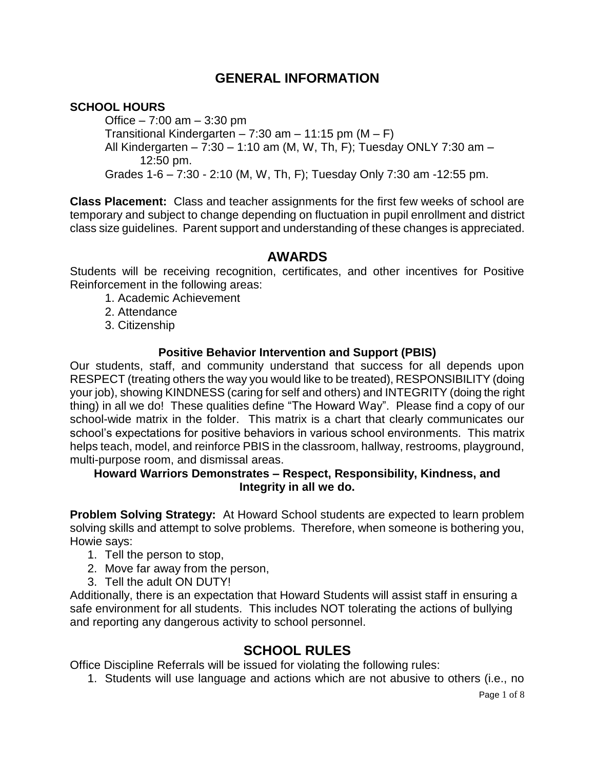# **GENERAL INFORMATION**

### **SCHOOL HOURS**

Office  $-7:00$  am  $-3:30$  pm Transitional Kindergarten – 7:30 am – 11:15 pm  $(M - F)$ All Kindergarten – 7:30 – 1:10 am (M, W, Th, F); Tuesday ONLY 7:30 am – 12:50 pm. Grades 1-6 – 7:30 - 2:10 (M, W, Th, F); Tuesday Only 7:30 am -12:55 pm.

**Class Placement:** Class and teacher assignments for the first few weeks of school are temporary and subject to change depending on fluctuation in pupil enrollment and district class size guidelines. Parent support and understanding of these changes is appreciated.

### **AWARDS**

Students will be receiving recognition, certificates, and other incentives for Positive Reinforcement in the following areas:

- 1. Academic Achievement
- 2. Attendance
- 3. Citizenship

#### **Positive Behavior Intervention and Support (PBIS)**

Our students, staff, and community understand that success for all depends upon RESPECT (treating others the way you would like to be treated), RESPONSIBILITY (doing your job), showing KINDNESS (caring for self and others) and INTEGRITY (doing the right thing) in all we do! These qualities define "The Howard Way". Please find a copy of our school-wide matrix in the folder. This matrix is a chart that clearly communicates our school's expectations for positive behaviors in various school environments. This matrix helps teach, model, and reinforce PBIS in the classroom, hallway, restrooms, playground, multi-purpose room, and dismissal areas.

#### **Howard Warriors Demonstrates – Respect, Responsibility, Kindness, and Integrity in all we do.**

**Problem Solving Strategy:** At Howard School students are expected to learn problem solving skills and attempt to solve problems. Therefore, when someone is bothering you, Howie says:

- 1. Tell the person to stop,
- 2. Move far away from the person,
- 3. Tell the adult ON DUTY!

Additionally, there is an expectation that Howard Students will assist staff in ensuring a safe environment for all students. This includes NOT tolerating the actions of bullying and reporting any dangerous activity to school personnel.

# **SCHOOL RULES**

Office Discipline Referrals will be issued for violating the following rules:

1. Students will use language and actions which are not abusive to others (i.e., no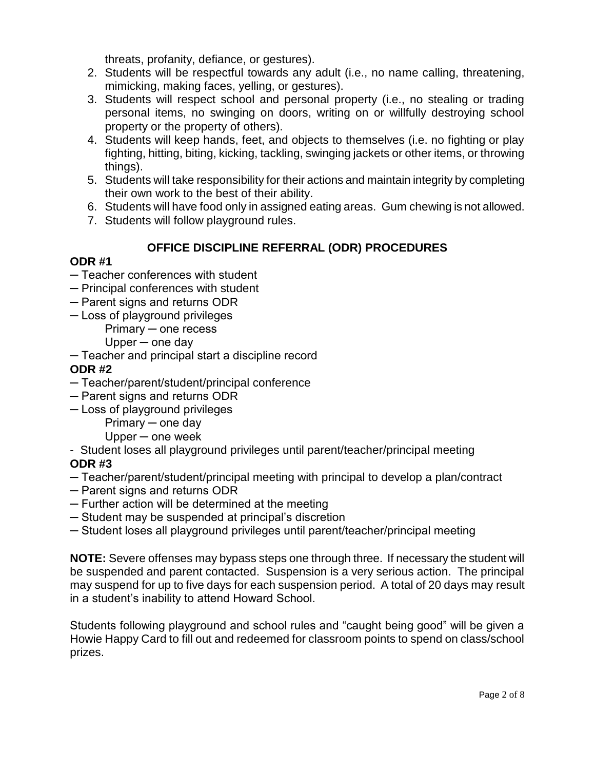threats, profanity, defiance, or gestures).

- 2. Students will be respectful towards any adult (i.e., no name calling, threatening, mimicking, making faces, yelling, or gestures).
- 3. Students will respect school and personal property (i.e., no stealing or trading personal items, no swinging on doors, writing on or willfully destroying school property or the property of others).
- 4. Students will keep hands, feet, and objects to themselves (i.e. no fighting or play fighting, hitting, biting, kicking, tackling, swinging jackets or other items, or throwing things).
- 5. Students will take responsibility for their actions and maintain integrity by completing their own work to the best of their ability.
- 6. Students will have food only in assigned eating areas. Gum chewing is not allowed.
- 7. Students will follow playground rules.

## **OFFICE DISCIPLINE REFERRAL (ODR) PROCEDURES**

## **ODR #1**

- ─ Teacher conferences with student
- ─ Principal conferences with student
- ─ Parent signs and returns ODR
- ─ Loss of playground privileges
	- Primary ─ one recess
	- Upper ─ one day
- ─ Teacher and principal start a discipline record

### **ODR #2**

- ─ Teacher/parent/student/principal conference
- ─ Parent signs and returns ODR
- ─ Loss of playground privileges
	- Primary ─ one day

Upper ─ one week

- Student loses all playground privileges until parent/teacher/principal meeting

## **ODR #3**

- ─ Teacher/parent/student/principal meeting with principal to develop a plan/contract
- ─ Parent signs and returns ODR
- ─ Further action will be determined at the meeting
- ─ Student may be suspended at principal's discretion
- ─ Student loses all playground privileges until parent/teacher/principal meeting

**NOTE:** Severe offenses may bypass steps one through three. If necessary the student will be suspended and parent contacted. Suspension is a very serious action. The principal may suspend for up to five days for each suspension period. A total of 20 days may result in a student's inability to attend Howard School.

Students following playground and school rules and "caught being good" will be given a Howie Happy Card to fill out and redeemed for classroom points to spend on class/school prizes.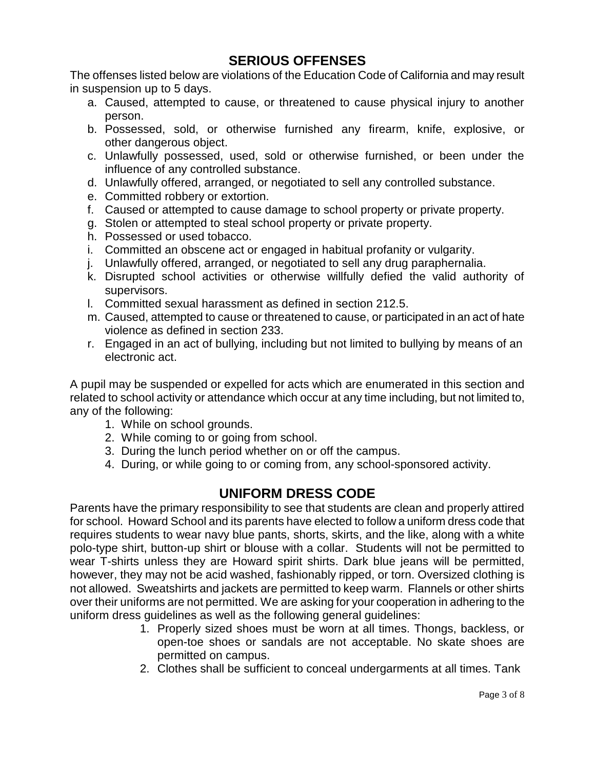## **SERIOUS OFFENSES**

The offenses listed below are violations of the Education Code of California and may result in suspension up to 5 days.

- a. Caused, attempted to cause, or threatened to cause physical injury to another person.
- b. Possessed, sold, or otherwise furnished any firearm, knife, explosive, or other dangerous object.
- c. Unlawfully possessed, used, sold or otherwise furnished, or been under the influence of any controlled substance.
- d. Unlawfully offered, arranged, or negotiated to sell any controlled substance.
- e. Committed robbery or extortion.
- f. Caused or attempted to cause damage to school property or private property.
- g. Stolen or attempted to steal school property or private property.
- h. Possessed or used tobacco.
- i. Committed an obscene act or engaged in habitual profanity or vulgarity.
- j. Unlawfully offered, arranged, or negotiated to sell any drug paraphernalia.
- k. Disrupted school activities or otherwise willfully defied the valid authority of supervisors.
- l. Committed sexual harassment as defined in section 212.5.
- m. Caused, attempted to cause or threatened to cause, or participated in an act of hate violence as defined in section 233.
- r. Engaged in an act of bullying, including but not limited to bullying by means of an electronic act.

A pupil may be suspended or expelled for acts which are enumerated in this section and related to school activity or attendance which occur at any time including, but not limited to, any of the following:

- 1. While on school grounds.
- 2. While coming to or going from school.
- 3. During the lunch period whether on or off the campus.
- 4. During, or while going to or coming from, any school-sponsored activity.

# **UNIFORM DRESS CODE**

Parents have the primary responsibility to see that students are clean and properly attired for school. Howard School and its parents have elected to follow a uniform dress code that requires students to wear navy blue pants, shorts, skirts, and the like, along with a white polo-type shirt, button-up shirt or blouse with a collar. Students will not be permitted to wear T-shirts unless they are Howard spirit shirts. Dark blue jeans will be permitted, however, they may not be acid washed, fashionably ripped, or torn. Oversized clothing is not allowed. Sweatshirts and jackets are permitted to keep warm. Flannels or other shirts over their uniforms are not permitted. We are asking for your cooperation in adhering to the uniform dress guidelines as well as the following general guidelines:

- 1. Properly sized shoes must be worn at all times. Thongs, backless, or open-toe shoes or sandals are not acceptable. No skate shoes are permitted on campus.
- 2. Clothes shall be sufficient to conceal undergarments at all times. Tank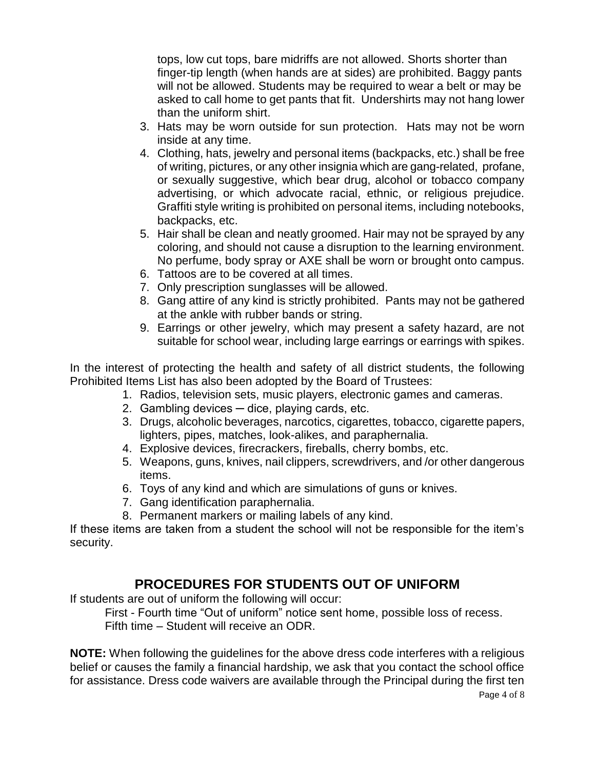tops, low cut tops, bare midriffs are not allowed. Shorts shorter than finger-tip length (when hands are at sides) are prohibited. Baggy pants will not be allowed. Students may be required to wear a belt or may be asked to call home to get pants that fit. Undershirts may not hang lower than the uniform shirt.

- 3. Hats may be worn outside for sun protection. Hats may not be worn inside at any time.
- 4. Clothing, hats, jewelry and personal items (backpacks, etc.) shall be free of writing, pictures, or any other insignia which are gang-related, profane, or sexually suggestive, which bear drug, alcohol or tobacco company advertising, or which advocate racial, ethnic, or religious prejudice. Graffiti style writing is prohibited on personal items, including notebooks, backpacks, etc.
- 5. Hair shall be clean and neatly groomed. Hair may not be sprayed by any coloring, and should not cause a disruption to the learning environment. No perfume, body spray or AXE shall be worn or brought onto campus.
- 6. Tattoos are to be covered at all times.
- 7. Only prescription sunglasses will be allowed.
- 8. Gang attire of any kind is strictly prohibited. Pants may not be gathered at the ankle with rubber bands or string.
- 9. Earrings or other jewelry, which may present a safety hazard, are not suitable for school wear, including large earrings or earrings with spikes.

In the interest of protecting the health and safety of all district students, the following Prohibited Items List has also been adopted by the Board of Trustees:

- 1. Radios, television sets, music players, electronic games and cameras.
- 2. Gambling devices dice, playing cards, etc.
- 3. Drugs, alcoholic beverages, narcotics, cigarettes, tobacco, cigarette papers, lighters, pipes, matches, look-alikes, and paraphernalia.
- 4. Explosive devices, firecrackers, fireballs, cherry bombs, etc.
- 5. Weapons, guns, knives, nail clippers, screwdrivers, and /or other dangerous items.
- 6. Toys of any kind and which are simulations of guns or knives.
- 7. Gang identification paraphernalia.
- 8. Permanent markers or mailing labels of any kind.

If these items are taken from a student the school will not be responsible for the item's security.

# **PROCEDURES FOR STUDENTS OUT OF UNIFORM**

If students are out of uniform the following will occur:

First - Fourth time "Out of uniform" notice sent home, possible loss of recess. Fifth time – Student will receive an ODR.

**NOTE:** When following the guidelines for the above dress code interferes with a religious belief or causes the family a financial hardship, we ask that you contact the school office for assistance. Dress code waivers are available through the Principal during the first ten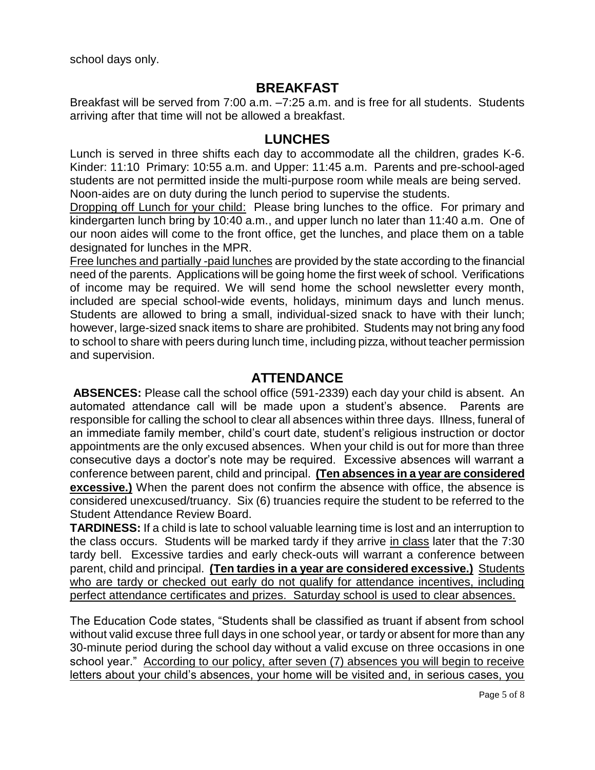school days only.

# **BREAKFAST**

Breakfast will be served from 7:00 a.m. –7:25 a.m. and is free for all students. Students arriving after that time will not be allowed a breakfast.

### **LUNCHES**

Lunch is served in three shifts each day to accommodate all the children, grades K-6. Kinder: 11:10 Primary: 10:55 a.m. and Upper: 11:45 a.m. Parents and pre-school-aged students are not permitted inside the multi-purpose room while meals are being served. Noon-aides are on duty during the lunch period to supervise the students.

Dropping off Lunch for your child: Please bring lunches to the office. For primary and kindergarten lunch bring by 10:40 a.m., and upper lunch no later than 11:40 a.m. One of our noon aides will come to the front office, get the lunches, and place them on a table designated for lunches in the MPR.

Free lunches and partially -paid lunches are provided by the state according to the financial need of the parents. Applications will be going home the first week of school. Verifications of income may be required. We will send home the school newsletter every month, included are special school-wide events, holidays, minimum days and lunch menus. Students are allowed to bring a small, individual-sized snack to have with their lunch; however, large-sized snack items to share are prohibited. Students may not bring any food to school to share with peers during lunch time, including pizza, without teacher permission and supervision.

## **ATTENDANCE**

**ABSENCES:** Please call the school office (591-2339) each day your child is absent. An automated attendance call will be made upon a student's absence. Parents are responsible for calling the school to clear all absences within three days. Illness, funeral of an immediate family member, child's court date, student's religious instruction or doctor appointments are the only excused absences. When your child is out for more than three consecutive days a doctor's note may be required. Excessive absences will warrant a conference between parent, child and principal. **(Ten absences in a year are considered excessive.)** When the parent does not confirm the absence with office, the absence is considered unexcused/truancy. Six (6) truancies require the student to be referred to the Student Attendance Review Board.

**TARDINESS:** If a child is late to school valuable learning time is lost and an interruption to the class occurs. Students will be marked tardy if they arrive in class later that the 7:30 tardy bell.Excessive tardies and early check-outs will warrant a conference between parent, child and principal. **(Ten tardies in a year are considered excessive.)** Students who are tardy or checked out early do not qualify for attendance incentives, including perfect attendance certificates and prizes. Saturday school is used to clear absences.

The Education Code states, "Students shall be classified as truant if absent from school without valid excuse three full days in one school year, or tardy or absent for more than any 30-minute period during the school day without a valid excuse on three occasions in one school year." According to our policy, after seven (7) absences you will begin to receive letters about your child's absences, your home will be visited and, in serious cases, you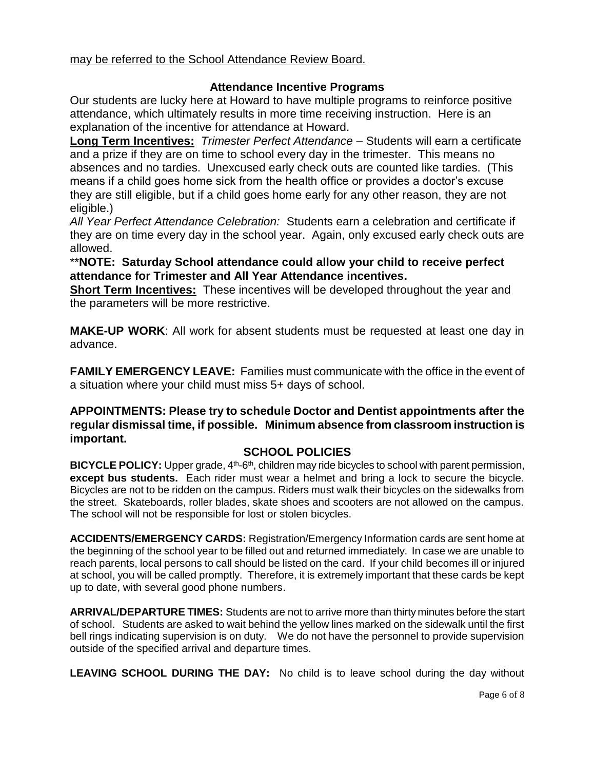may be referred to the School Attendance Review Board.

#### **Attendance Incentive Programs**

Our students are lucky here at Howard to have multiple programs to reinforce positive attendance, which ultimately results in more time receiving instruction. Here is an explanation of the incentive for attendance at Howard.

**Long Term Incentives:** *Trimester Perfect Attendance* – Students will earn a certificate and a prize if they are on time to school every day in the trimester. This means no absences and no tardies. Unexcused early check outs are counted like tardies. (This means if a child goes home sick from the health office or provides a doctor's excuse they are still eligible, but if a child goes home early for any other reason, they are not eligible.)

*All Year Perfect Attendance Celebration:* Students earn a celebration and certificate if they are on time every day in the school year. Again, only excused early check outs are allowed.

\*\***NOTE: Saturday School attendance could allow your child to receive perfect attendance for Trimester and All Year Attendance incentives.** 

**Short Term Incentives:** These incentives will be developed throughout the year and the parameters will be more restrictive.

**MAKE-UP WORK**: All work for absent students must be requested at least one day in advance.

**FAMILY EMERGENCY LEAVE:** Families must communicate with the office in the event of a situation where your child must miss 5+ days of school.

#### **APPOINTMENTS: Please try to schedule Doctor and Dentist appointments after the regular dismissal time, if possible. Minimum absence from classroom instruction is important.**

#### **SCHOOL POLICIES**

BICYCLE POLICY: Upper grade, 4<sup>th</sup>-6<sup>th</sup>, children may ride bicycles to school with parent permission, **except bus students.** Each rider must wear a helmet and bring a lock to secure the bicycle. Bicycles are not to be ridden on the campus. Riders must walk their bicycles on the sidewalks from the street. Skateboards, roller blades, skate shoes and scooters are not allowed on the campus. The school will not be responsible for lost or stolen bicycles.

**ACCIDENTS/EMERGENCY CARDS:** Registration/Emergency Information cards are sent home at the beginning of the school year to be filled out and returned immediately. In case we are unable to reach parents, local persons to call should be listed on the card. If your child becomes ill or injured at school, you will be called promptly. Therefore, it is extremely important that these cards be kept up to date, with several good phone numbers.

**ARRIVAL/DEPARTURE TIMES:** Students are not to arrive more than thirty minutes before the start of school. Students are asked to wait behind the yellow lines marked on the sidewalk until the first bell rings indicating supervision is on duty. We do not have the personnel to provide supervision outside of the specified arrival and departure times.

**LEAVING SCHOOL DURING THE DAY:** No child is to leave school during the day without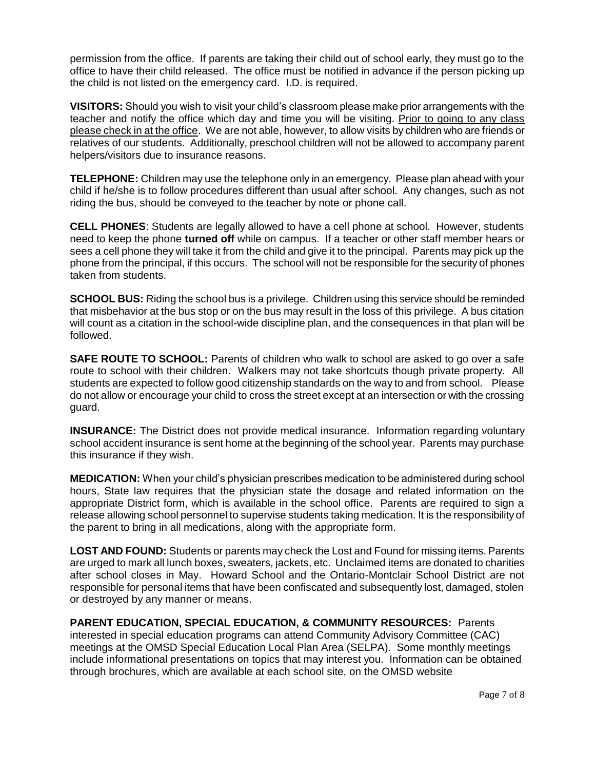permission from the office. If parents are taking their child out of school early, they must go to the office to have their child released. The office must be notified in advance if the person picking up the child is not listed on the emergency card. I.D. is required.

**VISITORS:** Should you wish to visit your child's classroom please make prior arrangements with the teacher and notify the office which day and time you will be visiting. Prior to going to any class please check in at the office. We are not able, however, to allow visits by children who are friends or relatives of our students. Additionally, preschool children will not be allowed to accompany parent helpers/visitors due to insurance reasons.

**TELEPHONE:** Children may use the telephone only in an emergency. Please plan ahead with your child if he/she is to follow procedures different than usual after school. Any changes, such as not riding the bus, should be conveyed to the teacher by note or phone call.

**CELL PHONES**: Students are legally allowed to have a cell phone at school. However, students need to keep the phone **turned off** while on campus. If a teacher or other staff member hears or sees a cell phone they will take it from the child and give it to the principal. Parents may pick up the phone from the principal, if this occurs. The school will not be responsible for the security of phones taken from students.

**SCHOOL BUS:** Riding the school bus is a privilege. Children using this service should be reminded that misbehavior at the bus stop or on the bus may result in the loss of this privilege. A bus citation will count as a citation in the school-wide discipline plan, and the consequences in that plan will be followed.

**SAFE ROUTE TO SCHOOL:** Parents of children who walk to school are asked to go over a safe route to school with their children. Walkers may not take shortcuts though private property. All students are expected to follow good citizenship standards on the way to and from school. Please do not allow or encourage your child to cross the street except at an intersection or with the crossing guard.

**INSURANCE:** The District does not provide medical insurance. Information regarding voluntary school accident insurance is sent home at the beginning of the school year. Parents may purchase this insurance if they wish.

**MEDICATION:** When your child's physician prescribes medication to be administered during school hours, State law requires that the physician state the dosage and related information on the appropriate District form, which is available in the school office. Parents are required to sign a release allowing school personnel to supervise students taking medication. It is the responsibility of the parent to bring in all medications, along with the appropriate form.

**LOST AND FOUND:** Students or parents may check the Lost and Found for missing items. Parents are urged to mark all lunch boxes, sweaters, jackets, etc. Unclaimed items are donated to charities after school closes in May. Howard School and the Ontario-Montclair School District are not responsible for personal items that have been confiscated and subsequently lost, damaged, stolen or destroyed by any manner or means.

**PARENT EDUCATION, SPECIAL EDUCATION, & COMMUNITY RESOURCES:** Parents interested in special education programs can attend Community Advisory Committee (CAC) meetings at the OMSD Special Education Local Plan Area (SELPA). Some monthly meetings include informational presentations on topics that may interest you. Information can be obtained through brochures, which are available at each school site, on the OMSD website